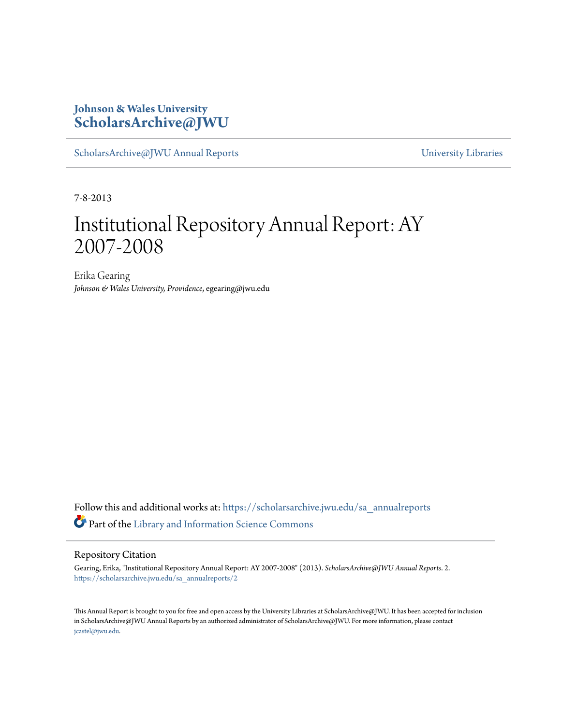### **Johnson & Wales University [ScholarsArchive@JWU](https://scholarsarchive.jwu.edu?utm_source=scholarsarchive.jwu.edu%2Fsa_annualreports%2F2&utm_medium=PDF&utm_campaign=PDFCoverPages)**

[ScholarsArchive@JWU Annual Reports](https://scholarsarchive.jwu.edu/sa_annualreports?utm_source=scholarsarchive.jwu.edu%2Fsa_annualreports%2F2&utm_medium=PDF&utm_campaign=PDFCoverPages) **Example 2018** [University Libraries](https://scholarsarchive.jwu.edu/University_Libraries?utm_source=scholarsarchive.jwu.edu%2Fsa_annualreports%2F2&utm_medium=PDF&utm_campaign=PDFCoverPages)

7-8-2013

## Institutional Repository Annual Report: AY 2007-2008

Erika Gearing *Johnson & Wales University, Providence*, egearing@jwu.edu

Follow this and additional works at: [https://scholarsarchive.jwu.edu/sa\\_annualreports](https://scholarsarchive.jwu.edu/sa_annualreports?utm_source=scholarsarchive.jwu.edu%2Fsa_annualreports%2F2&utm_medium=PDF&utm_campaign=PDFCoverPages) Part of the [Library and Information Science Commons](http://network.bepress.com/hgg/discipline/1018?utm_source=scholarsarchive.jwu.edu%2Fsa_annualreports%2F2&utm_medium=PDF&utm_campaign=PDFCoverPages)

#### Repository Citation

Gearing, Erika, "Institutional Repository Annual Report: AY 2007-2008" (2013). *ScholarsArchive@JWU Annual Reports*. 2. [https://scholarsarchive.jwu.edu/sa\\_annualreports/2](https://scholarsarchive.jwu.edu/sa_annualreports/2?utm_source=scholarsarchive.jwu.edu%2Fsa_annualreports%2F2&utm_medium=PDF&utm_campaign=PDFCoverPages)

This Annual Report is brought to you for free and open access by the University Libraries at ScholarsArchive@JWU. It has been accepted for inclusion in ScholarsArchive@JWU Annual Reports by an authorized administrator of ScholarsArchive@JWU. For more information, please contact [jcastel@jwu.edu.](mailto:jcastel@jwu.edu)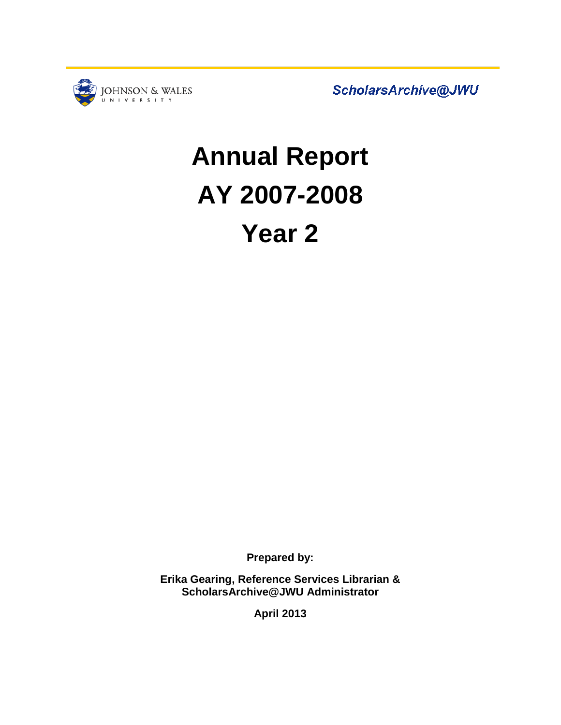

ScholarsArchive@JWU

# **Annual Report AY 2007-2008 Year 2**

**Prepared by:**

**Erika Gearing, Reference Services Librarian & ScholarsArchive@JWU Administrator**

**April 2013**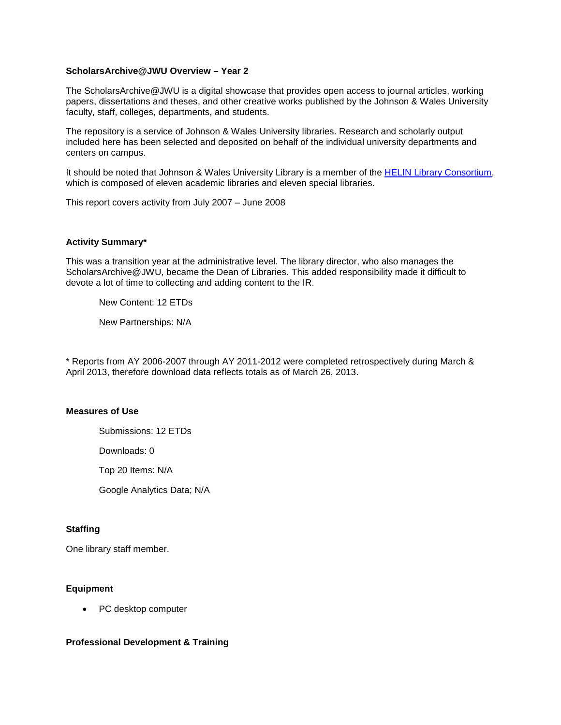#### **ScholarsArchive@JWU Overview – Year 2**

The ScholarsArchive@JWU is a digital showcase that provides open access to journal articles, working papers, dissertations and theses, and other creative works published by the Johnson & Wales University faculty, staff, colleges, departments, and students.

The repository is a service of Johnson & Wales University libraries. Research and scholarly output included here has been selected and deposited on behalf of the individual university departments and centers on campus.

It should be noted that Johnson & Wales University Library is a member of the [HELIN Library Consortium,](http://www.helininc.org/General/about-helin.html) which is composed of eleven academic libraries and eleven special libraries.

This report covers activity from July 2007 – June 2008

#### **Activity Summary\***

This was a transition year at the administrative level. The library director, who also manages the ScholarsArchive@JWU, became the Dean of Libraries. This added responsibility made it difficult to devote a lot of time to collecting and adding content to the IR.

New Content: 12 ETDs

New Partnerships: N/A

\* Reports from AY 2006-2007 through AY 2011-2012 were completed retrospectively during March & April 2013, therefore download data reflects totals as of March 26, 2013.

#### **Measures of Use**

Submissions: 12 ETDs

Downloads: 0

Top 20 Items: N/A

Google Analytics Data; N/A

#### **Staffing**

One library staff member.

#### **Equipment**

• PC desktop computer

#### **Professional Development & Training**